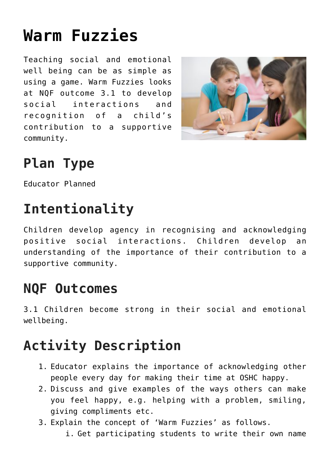# **[Warm Fuzzies](https://one-child.com/741/warm-fuzzies/)**

Teaching social and emotional well being can be as simple as using a game. Warm Fuzzies looks at NQF outcome 3.1 to develop social interactions and recognition of a child's contribution to a supportive community.



# **Plan Type**

Educator Planned

## **Intentionality**

Children develop agency in recognising and acknowledging positive social interactions. Children develop an understanding of the importance of their contribution to a supportive community.

#### **NQF Outcomes**

3.1 Children become strong in their social and emotional wellbeing.

## **Activity Description**

- 1. Educator explains the importance of acknowledging other people every day for making their time at OSHC happy.
- 2. Discuss and give examples of the ways others can make you feel happy, e.g. helping with a problem, smiling, giving compliments etc.
- 3. Explain the concept of 'Warm Fuzzies' as follows.
	- i. Get participating students to write their own name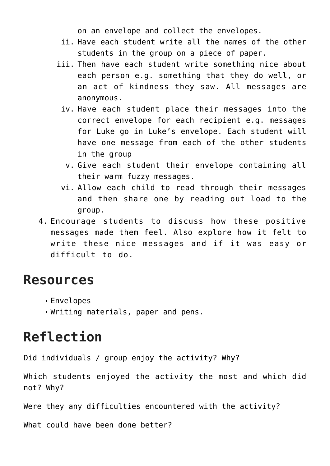on an envelope and collect the envelopes.

- ii. Have each student write all the names of the other students in the group on a piece of paper.
- iii. Then have each student write something nice about each person e.g. something that they do well, or an act of kindness they saw. All messages are anonymous.
	- iv. Have each student place their messages into the correct envelope for each recipient e.g. messages for Luke go in Luke's envelope. Each student will have one message from each of the other students in the group
		- v. Give each student their envelope containing all their warm fuzzy messages.
	- vi. Allow each child to read through their messages and then share one by reading out load to the group.
- 4. Encourage students to discuss how these positive messages made them feel. Also explore how it felt to write these nice messages and if it was easy or difficult to do.

#### **Resources**

- Envelopes
- Writing materials, paper and pens.

#### **Reflection**

Did individuals / group enjoy the activity? Why?

Which students enjoyed the activity the most and which did not? Why?

Were they any difficulties encountered with the activity?

What could have been done better?